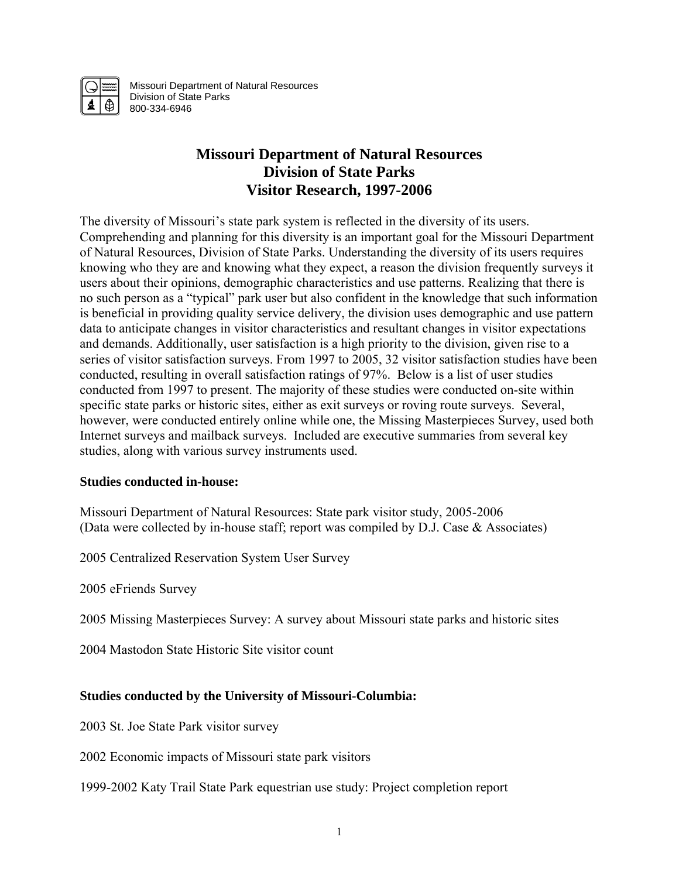

Missouri Department of Natural Resources Division of State Parks 800-334-6946

# **Missouri Department of Natural Resources Division of State Parks Visitor Research, 1997-2006**

The diversity of Missouri's state park system is reflected in the diversity of its users. Comprehending and planning for this diversity is an important goal for the Missouri Department of Natural Resources, Division of State Parks. Understanding the diversity of its users requires knowing who they are and knowing what they expect, a reason the division frequently surveys it users about their opinions, demographic characteristics and use patterns. Realizing that there is no such person as a "typical" park user but also confident in the knowledge that such information is beneficial in providing quality service delivery, the division uses demographic and use pattern data to anticipate changes in visitor characteristics and resultant changes in visitor expectations and demands. Additionally, user satisfaction is a high priority to the division, given rise to a series of visitor satisfaction surveys. From 1997 to 2005, 32 visitor satisfaction studies have been conducted, resulting in overall satisfaction ratings of 97%. Below is a list of user studies conducted from 1997 to present. The majority of these studies were conducted on-site within specific state parks or historic sites, either as exit surveys or roving route surveys. Several, however, were conducted entirely online while one, the Missing Masterpieces Survey, used both Internet surveys and mailback surveys. Included are executive summaries from several key studies, along with various survey instruments used.

# **Studies conducted in-house:**

Missouri Department of Natural Resources: State park visitor study, 2005-2006 (Data were collected by in-house staff; report was compiled by D.J. Case & Associates)

2005 Centralized Reservation System User Survey

2005 eFriends Survey

2005 Missing Masterpieces Survey: A survey about Missouri state parks and historic sites

2004 Mastodon State Historic Site visitor count

# **Studies conducted by the University of Missouri-Columbia:**

2003 St. Joe State Park visitor survey

2002 Economic impacts of Missouri state park visitors

1999-2002 Katy Trail State Park equestrian use study: Project completion report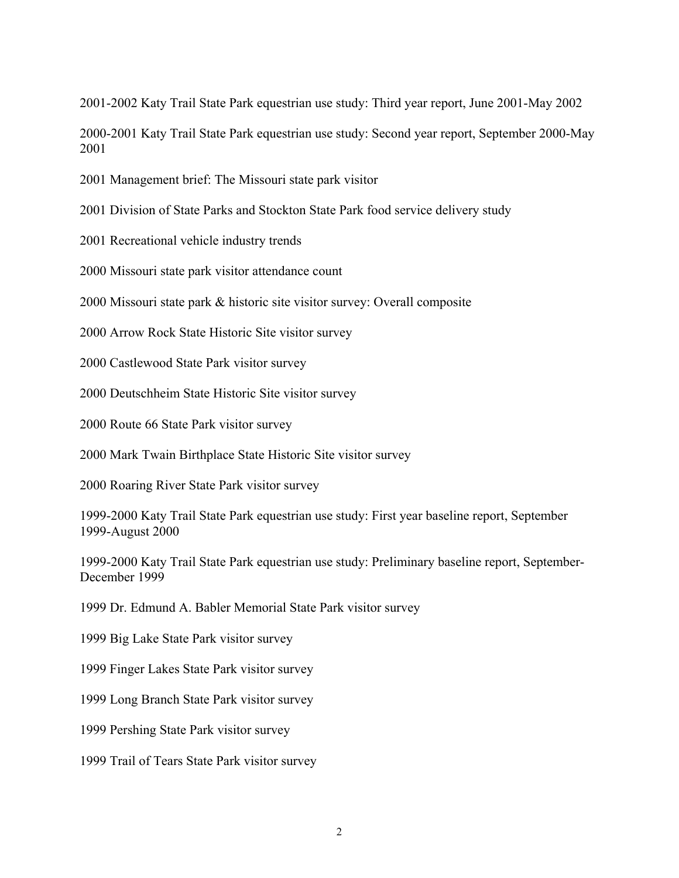2001-2002 Katy Trail State Park equestrian use study: Third year report, June 2001-May 2002

2000-2001 Katy Trail State Park equestrian use study: Second year report, September 2000-May 2001

2001 Management brief: The Missouri state park visitor

2001 Division of State Parks and Stockton State Park food service delivery study

2001 Recreational vehicle industry trends

2000 Missouri state park visitor attendance count

2000 Missouri state park & historic site visitor survey: Overall composite

2000 Arrow Rock State Historic Site visitor survey

2000 Castlewood State Park visitor survey

2000 Deutschheim State Historic Site visitor survey

2000 Route 66 State Park visitor survey

2000 Mark Twain Birthplace State Historic Site visitor survey

2000 Roaring River State Park visitor survey

1999-2000 Katy Trail State Park equestrian use study: First year baseline report, September 1999-August 2000

1999-2000 Katy Trail State Park equestrian use study: Preliminary baseline report, September-December 1999

1999 Dr. Edmund A. Babler Memorial State Park visitor survey

1999 Big Lake State Park visitor survey

1999 Finger Lakes State Park visitor survey

1999 Long Branch State Park visitor survey

1999 Pershing State Park visitor survey

1999 Trail of Tears State Park visitor survey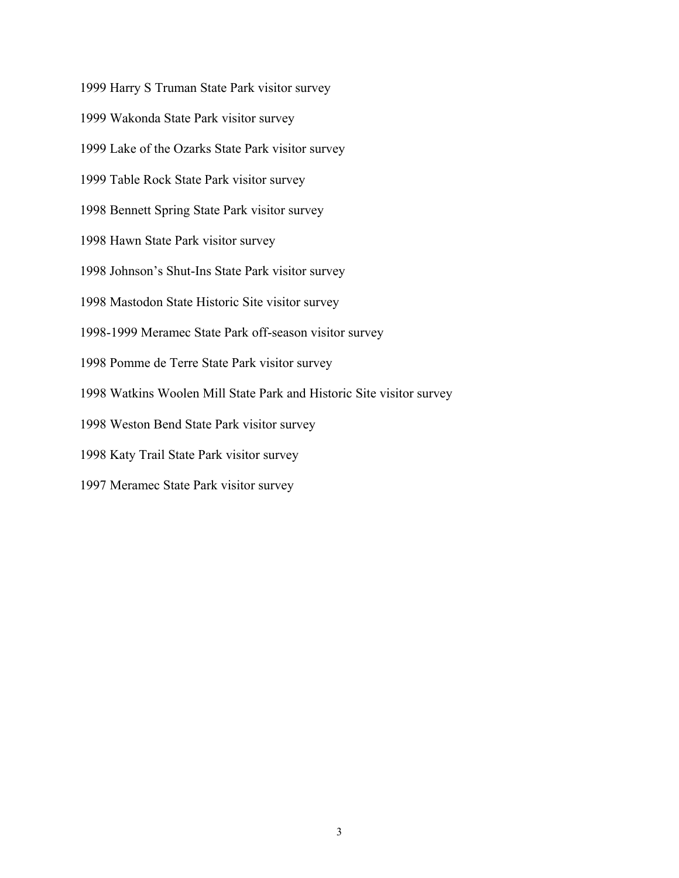1999 Harry S Truman State Park visitor survey 1999 Wakonda State Park visitor survey 1999 Lake of the Ozarks State Park visitor survey 1999 Table Rock State Park visitor survey 1998 Bennett Spring State Park visitor survey 1998 Hawn State Park visitor survey 1998 Johnson's Shut-Ins State Park visitor survey 1998 Mastodon State Historic Site visitor survey 1998-1999 Meramec State Park off-season visitor survey 1998 Pomme de Terre State Park visitor survey 1998 Watkins Woolen Mill State Park and Historic Site visitor survey 1998 Weston Bend State Park visitor survey 1998 Katy Trail State Park visitor survey 1997 Meramec State Park visitor survey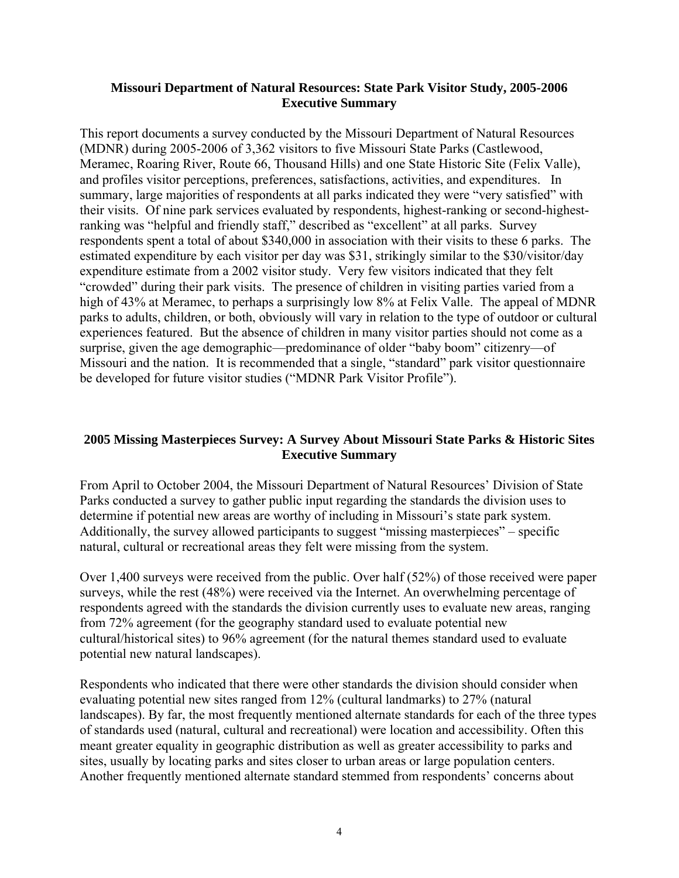#### **Missouri Department of Natural Resources: State Park Visitor Study, 2005-2006 Executive Summary**

This report documents a survey conducted by the Missouri Department of Natural Resources (MDNR) during 2005-2006 of 3,362 visitors to five Missouri State Parks (Castlewood, Meramec, Roaring River, Route 66, Thousand Hills) and one State Historic Site (Felix Valle), and profiles visitor perceptions, preferences, satisfactions, activities, and expenditures. In summary, large majorities of respondents at all parks indicated they were "very satisfied" with their visits. Of nine park services evaluated by respondents, highest-ranking or second-highestranking was "helpful and friendly staff," described as "excellent" at all parks. Survey respondents spent a total of about \$340,000 in association with their visits to these 6 parks. The estimated expenditure by each visitor per day was \$31, strikingly similar to the \$30/visitor/day expenditure estimate from a 2002 visitor study. Very few visitors indicated that they felt "crowded" during their park visits. The presence of children in visiting parties varied from a high of 43% at Meramec, to perhaps a surprisingly low 8% at Felix Valle. The appeal of MDNR parks to adults, children, or both, obviously will vary in relation to the type of outdoor or cultural experiences featured. But the absence of children in many visitor parties should not come as a surprise, given the age demographic—predominance of older "baby boom" citizenry—of Missouri and the nation. It is recommended that a single, "standard" park visitor questionnaire be developed for future visitor studies ("MDNR Park Visitor Profile").

# **2005 Missing Masterpieces Survey: A Survey About Missouri State Parks & Historic Sites Executive Summary**

From April to October 2004, the Missouri Department of Natural Resources' Division of State Parks conducted a survey to gather public input regarding the standards the division uses to determine if potential new areas are worthy of including in Missouri's state park system. Additionally, the survey allowed participants to suggest "missing masterpieces" – specific natural, cultural or recreational areas they felt were missing from the system.

Over 1,400 surveys were received from the public. Over half (52%) of those received were paper surveys, while the rest (48%) were received via the Internet. An overwhelming percentage of respondents agreed with the standards the division currently uses to evaluate new areas, ranging from 72% agreement (for the geography standard used to evaluate potential new cultural/historical sites) to 96% agreement (for the natural themes standard used to evaluate potential new natural landscapes).

Respondents who indicated that there were other standards the division should consider when evaluating potential new sites ranged from 12% (cultural landmarks) to 27% (natural landscapes). By far, the most frequently mentioned alternate standards for each of the three types of standards used (natural, cultural and recreational) were location and accessibility. Often this meant greater equality in geographic distribution as well as greater accessibility to parks and sites, usually by locating parks and sites closer to urban areas or large population centers. Another frequently mentioned alternate standard stemmed from respondents' concerns about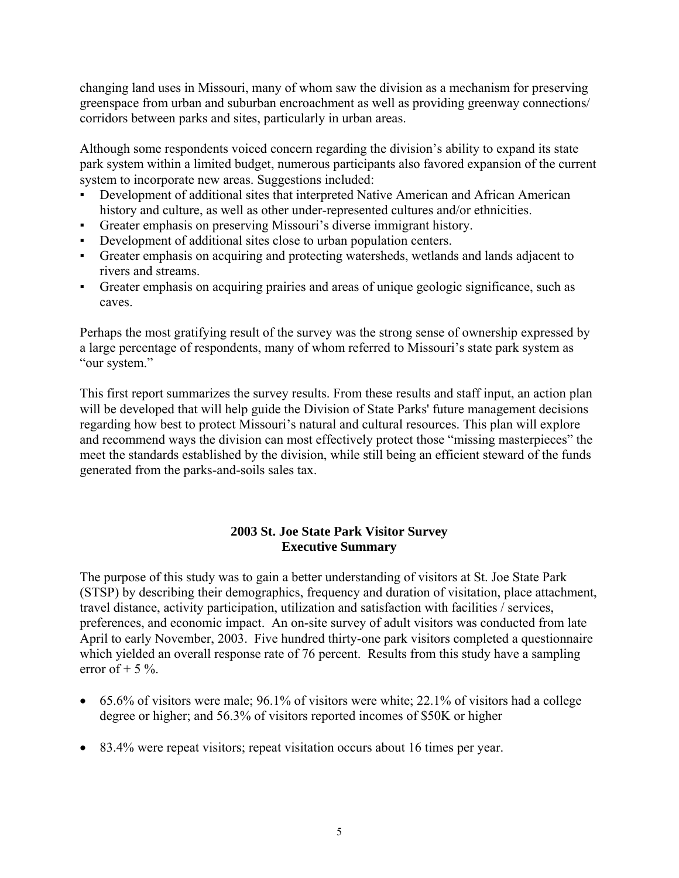changing land uses in Missouri, many of whom saw the division as a mechanism for preserving greenspace from urban and suburban encroachment as well as providing greenway connections/ corridors between parks and sites, particularly in urban areas.

Although some respondents voiced concern regarding the division's ability to expand its state park system within a limited budget, numerous participants also favored expansion of the current system to incorporate new areas. Suggestions included:

- Development of additional sites that interpreted Native American and African American history and culture, as well as other under-represented cultures and/or ethnicities.
- Greater emphasis on preserving Missouri's diverse immigrant history.
- Development of additional sites close to urban population centers.
- Greater emphasis on acquiring and protecting watersheds, wetlands and lands adjacent to rivers and streams.
- Greater emphasis on acquiring prairies and areas of unique geologic significance, such as caves.

Perhaps the most gratifying result of the survey was the strong sense of ownership expressed by a large percentage of respondents, many of whom referred to Missouri's state park system as "our system."

This first report summarizes the survey results. From these results and staff input, an action plan will be developed that will help guide the Division of State Parks' future management decisions regarding how best to protect Missouri's natural and cultural resources. This plan will explore and recommend ways the division can most effectively protect those "missing masterpieces" the meet the standards established by the division, while still being an efficient steward of the funds generated from the parks-and-soils sales tax.

#### **2003 St. Joe State Park Visitor Survey Executive Summary**

The purpose of this study was to gain a better understanding of visitors at St. Joe State Park (STSP) by describing their demographics, frequency and duration of visitation, place attachment, travel distance, activity participation, utilization and satisfaction with facilities / services, preferences, and economic impact. An on-site survey of adult visitors was conducted from late April to early November, 2003. Five hundred thirty-one park visitors completed a questionnaire which yielded an overall response rate of 76 percent. Results from this study have a sampling error of  $+$  5 %.

- 65.6% of visitors were male; 96.1% of visitors were white; 22.1% of visitors had a college degree or higher; and 56.3% of visitors reported incomes of \$50K or higher
- 83.4% were repeat visitors; repeat visitation occurs about 16 times per year.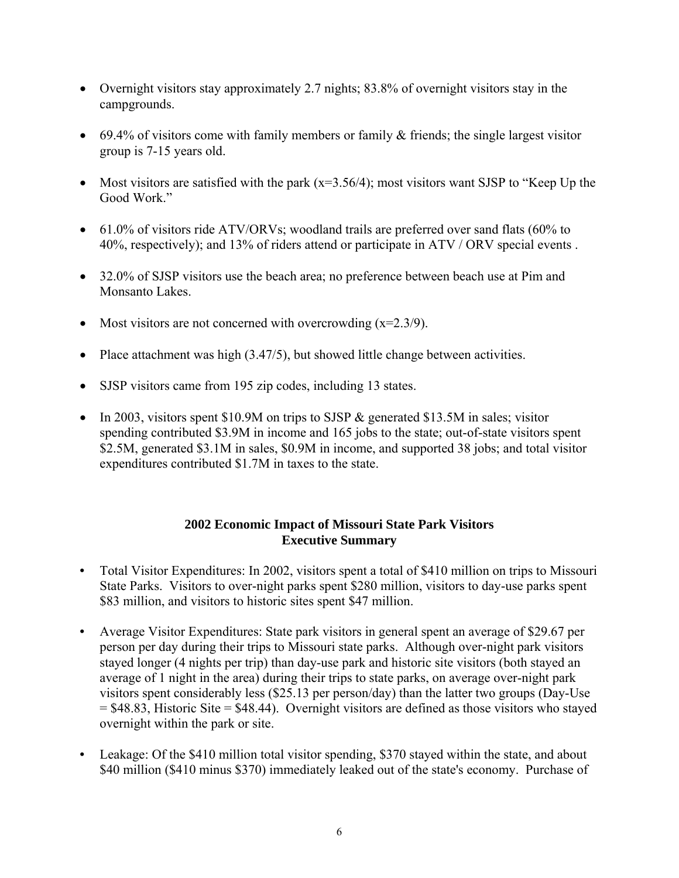- Overnight visitors stay approximately 2.7 nights; 83.8% of overnight visitors stay in the campgrounds.
- 69.4% of visitors come with family members or family & friends; the single largest visitor group is 7-15 years old.
- Most visitors are satisfied with the park  $(x=3.56/4)$ ; most visitors want SJSP to "Keep Up the Good Work."
- 61.0% of visitors ride ATV/ORVs; woodland trails are preferred over sand flats (60% to 40%, respectively); and 13% of riders attend or participate in ATV / ORV special events .
- 32.0% of SJSP visitors use the beach area; no preference between beach use at Pim and Monsanto Lakes.
- Most visitors are not concerned with overcrowding  $(x=2.3/9)$ .
- Place attachment was high (3.47/5), but showed little change between activities.
- SJSP visitors came from 195 zip codes, including 13 states.
- In 2003, visitors spent \$10.9M on trips to SJSP & generated \$13.5M in sales; visitor spending contributed \$3.9M in income and 165 jobs to the state; out-of-state visitors spent \$2.5M, generated \$3.1M in sales, \$0.9M in income, and supported 38 jobs; and total visitor expenditures contributed \$1.7M in taxes to the state.

# **2002 Economic Impact of Missouri State Park Visitors Executive Summary**

- Total Visitor Expenditures: In 2002, visitors spent a total of \$410 million on trips to Missouri State Parks. Visitors to over-night parks spent \$280 million, visitors to day-use parks spent \$83 million, and visitors to historic sites spent \$47 million.
- Average Visitor Expenditures: State park visitors in general spent an average of \$29.67 per person per day during their trips to Missouri state parks. Although over-night park visitors stayed longer (4 nights per trip) than day-use park and historic site visitors (both stayed an average of 1 night in the area) during their trips to state parks, on average over-night park visitors spent considerably less (\$25.13 per person/day) than the latter two groups (Day-Use  $= $48.83$ , Historic Site  $= $48.44$ ). Overnight visitors are defined as those visitors who stayed overnight within the park or site.
- Leakage: Of the \$410 million total visitor spending, \$370 stayed within the state, and about \$40 million (\$410 minus \$370) immediately leaked out of the state's economy. Purchase of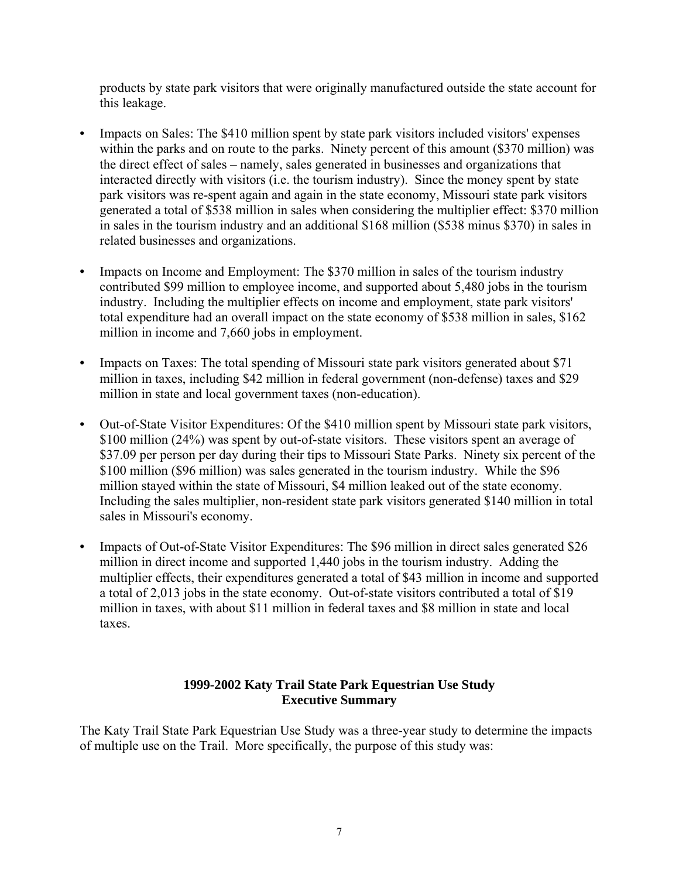products by state park visitors that were originally manufactured outside the state account for this leakage.

- Impacts on Sales: The \$410 million spent by state park visitors included visitors' expenses within the parks and on route to the parks. Ninety percent of this amount (\$370 million) was the direct effect of sales – namely, sales generated in businesses and organizations that interacted directly with visitors (i.e. the tourism industry). Since the money spent by state park visitors was re-spent again and again in the state economy, Missouri state park visitors generated a total of \$538 million in sales when considering the multiplier effect: \$370 million in sales in the tourism industry and an additional \$168 million (\$538 minus \$370) in sales in related businesses and organizations.
- Impacts on Income and Employment: The \$370 million in sales of the tourism industry contributed \$99 million to employee income, and supported about 5,480 jobs in the tourism industry. Including the multiplier effects on income and employment, state park visitors' total expenditure had an overall impact on the state economy of \$538 million in sales, \$162 million in income and 7,660 jobs in employment.
- Impacts on Taxes: The total spending of Missouri state park visitors generated about \$71 million in taxes, including \$42 million in federal government (non-defense) taxes and \$29 million in state and local government taxes (non-education).
- Out-of-State Visitor Expenditures: Of the \$410 million spent by Missouri state park visitors, \$100 million (24%) was spent by out-of-state visitors. These visitors spent an average of \$37.09 per person per day during their tips to Missouri State Parks. Ninety six percent of the \$100 million (\$96 million) was sales generated in the tourism industry. While the \$96 million stayed within the state of Missouri, \$4 million leaked out of the state economy. Including the sales multiplier, non-resident state park visitors generated \$140 million in total sales in Missouri's economy.
- Impacts of Out-of-State Visitor Expenditures: The \$96 million in direct sales generated \$26 million in direct income and supported 1,440 jobs in the tourism industry. Adding the multiplier effects, their expenditures generated a total of \$43 million in income and supported a total of 2,013 jobs in the state economy. Out-of-state visitors contributed a total of \$19 million in taxes, with about \$11 million in federal taxes and \$8 million in state and local taxes.

#### **1999-2002 Katy Trail State Park Equestrian Use Study Executive Summary**

The Katy Trail State Park Equestrian Use Study was a three-year study to determine the impacts of multiple use on the Trail. More specifically, the purpose of this study was: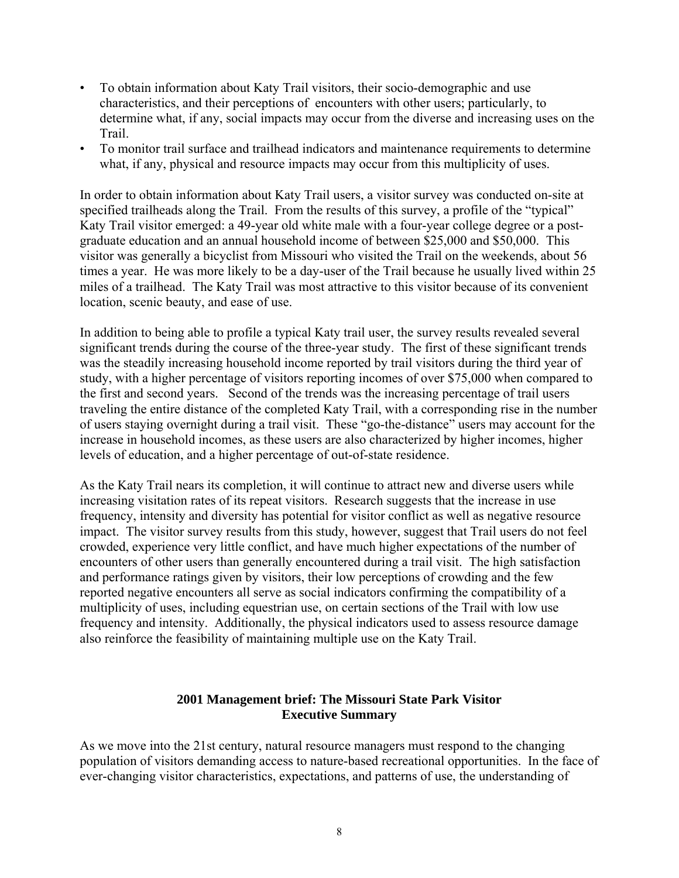- To obtain information about Katy Trail visitors, their socio-demographic and use characteristics, and their perceptions of encounters with other users; particularly, to determine what, if any, social impacts may occur from the diverse and increasing uses on the **Trail**
- To monitor trail surface and trailhead indicators and maintenance requirements to determine what, if any, physical and resource impacts may occur from this multiplicity of uses.

In order to obtain information about Katy Trail users, a visitor survey was conducted on-site at specified trailheads along the Trail. From the results of this survey, a profile of the "typical" Katy Trail visitor emerged: a 49-year old white male with a four-year college degree or a postgraduate education and an annual household income of between \$25,000 and \$50,000. This visitor was generally a bicyclist from Missouri who visited the Trail on the weekends, about 56 times a year. He was more likely to be a day-user of the Trail because he usually lived within 25 miles of a trailhead. The Katy Trail was most attractive to this visitor because of its convenient location, scenic beauty, and ease of use.

In addition to being able to profile a typical Katy trail user, the survey results revealed several significant trends during the course of the three-year study. The first of these significant trends was the steadily increasing household income reported by trail visitors during the third year of study, with a higher percentage of visitors reporting incomes of over \$75,000 when compared to the first and second years. Second of the trends was the increasing percentage of trail users traveling the entire distance of the completed Katy Trail, with a corresponding rise in the number of users staying overnight during a trail visit. These "go-the-distance" users may account for the increase in household incomes, as these users are also characterized by higher incomes, higher levels of education, and a higher percentage of out-of-state residence.

As the Katy Trail nears its completion, it will continue to attract new and diverse users while increasing visitation rates of its repeat visitors. Research suggests that the increase in use frequency, intensity and diversity has potential for visitor conflict as well as negative resource impact. The visitor survey results from this study, however, suggest that Trail users do not feel crowded, experience very little conflict, and have much higher expectations of the number of encounters of other users than generally encountered during a trail visit. The high satisfaction and performance ratings given by visitors, their low perceptions of crowding and the few reported negative encounters all serve as social indicators confirming the compatibility of a multiplicity of uses, including equestrian use, on certain sections of the Trail with low use frequency and intensity. Additionally, the physical indicators used to assess resource damage also reinforce the feasibility of maintaining multiple use on the Katy Trail.

#### **2001 Management brief: The Missouri State Park Visitor Executive Summary**

As we move into the 21st century, natural resource managers must respond to the changing population of visitors demanding access to nature-based recreational opportunities. In the face of ever-changing visitor characteristics, expectations, and patterns of use, the understanding of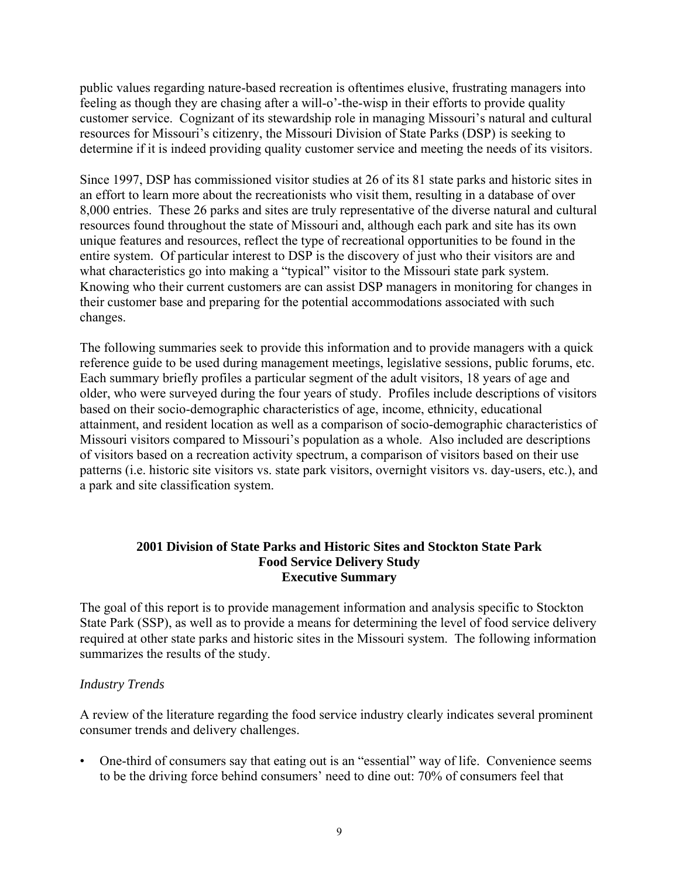public values regarding nature-based recreation is oftentimes elusive, frustrating managers into feeling as though they are chasing after a will-o'-the-wisp in their efforts to provide quality customer service. Cognizant of its stewardship role in managing Missouri's natural and cultural resources for Missouri's citizenry, the Missouri Division of State Parks (DSP) is seeking to determine if it is indeed providing quality customer service and meeting the needs of its visitors.

Since 1997, DSP has commissioned visitor studies at 26 of its 81 state parks and historic sites in an effort to learn more about the recreationists who visit them, resulting in a database of over 8,000 entries. These 26 parks and sites are truly representative of the diverse natural and cultural resources found throughout the state of Missouri and, although each park and site has its own unique features and resources, reflect the type of recreational opportunities to be found in the entire system. Of particular interest to DSP is the discovery of just who their visitors are and what characteristics go into making a "typical" visitor to the Missouri state park system. Knowing who their current customers are can assist DSP managers in monitoring for changes in their customer base and preparing for the potential accommodations associated with such changes.

The following summaries seek to provide this information and to provide managers with a quick reference guide to be used during management meetings, legislative sessions, public forums, etc. Each summary briefly profiles a particular segment of the adult visitors, 18 years of age and older, who were surveyed during the four years of study. Profiles include descriptions of visitors based on their socio-demographic characteristics of age, income, ethnicity, educational attainment, and resident location as well as a comparison of socio-demographic characteristics of Missouri visitors compared to Missouri's population as a whole. Also included are descriptions of visitors based on a recreation activity spectrum, a comparison of visitors based on their use patterns (i.e. historic site visitors vs. state park visitors, overnight visitors vs. day-users, etc.), and a park and site classification system.

#### **2001 Division of State Parks and Historic Sites and Stockton State Park Food Service Delivery Study Executive Summary**

The goal of this report is to provide management information and analysis specific to Stockton State Park (SSP), as well as to provide a means for determining the level of food service delivery required at other state parks and historic sites in the Missouri system. The following information summarizes the results of the study.

#### *Industry Trends*

A review of the literature regarding the food service industry clearly indicates several prominent consumer trends and delivery challenges.

• One-third of consumers say that eating out is an "essential" way of life. Convenience seems to be the driving force behind consumers' need to dine out: 70% of consumers feel that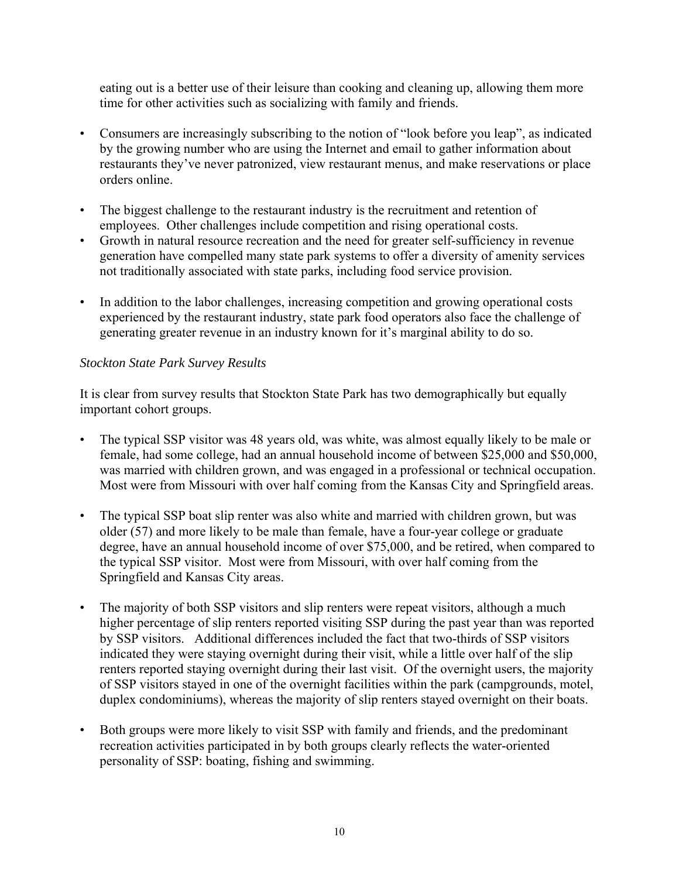eating out is a better use of their leisure than cooking and cleaning up, allowing them more time for other activities such as socializing with family and friends.

- Consumers are increasingly subscribing to the notion of "look before you leap", as indicated by the growing number who are using the Internet and email to gather information about restaurants they've never patronized, view restaurant menus, and make reservations or place orders online.
- The biggest challenge to the restaurant industry is the recruitment and retention of employees. Other challenges include competition and rising operational costs.
- Growth in natural resource recreation and the need for greater self-sufficiency in revenue generation have compelled many state park systems to offer a diversity of amenity services not traditionally associated with state parks, including food service provision.
- In addition to the labor challenges, increasing competition and growing operational costs experienced by the restaurant industry, state park food operators also face the challenge of generating greater revenue in an industry known for it's marginal ability to do so.

# *Stockton State Park Survey Results*

It is clear from survey results that Stockton State Park has two demographically but equally important cohort groups.

- The typical SSP visitor was 48 years old, was white, was almost equally likely to be male or female, had some college, had an annual household income of between \$25,000 and \$50,000, was married with children grown, and was engaged in a professional or technical occupation. Most were from Missouri with over half coming from the Kansas City and Springfield areas.
- The typical SSP boat slip renter was also white and married with children grown, but was older (57) and more likely to be male than female, have a four-year college or graduate degree, have an annual household income of over \$75,000, and be retired, when compared to the typical SSP visitor. Most were from Missouri, with over half coming from the Springfield and Kansas City areas.
- The majority of both SSP visitors and slip renters were repeat visitors, although a much higher percentage of slip renters reported visiting SSP during the past year than was reported by SSP visitors. Additional differences included the fact that two-thirds of SSP visitors indicated they were staying overnight during their visit, while a little over half of the slip renters reported staying overnight during their last visit. Of the overnight users, the majority of SSP visitors stayed in one of the overnight facilities within the park (campgrounds, motel, duplex condominiums), whereas the majority of slip renters stayed overnight on their boats.
- Both groups were more likely to visit SSP with family and friends, and the predominant recreation activities participated in by both groups clearly reflects the water-oriented personality of SSP: boating, fishing and swimming.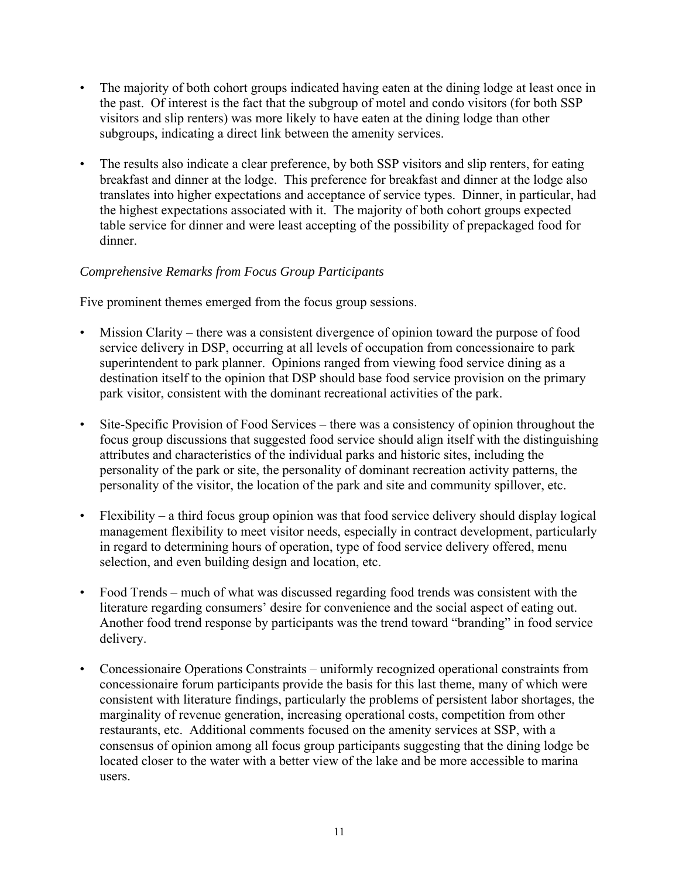- The majority of both cohort groups indicated having eaten at the dining lodge at least once in the past. Of interest is the fact that the subgroup of motel and condo visitors (for both SSP visitors and slip renters) was more likely to have eaten at the dining lodge than other subgroups, indicating a direct link between the amenity services.
- The results also indicate a clear preference, by both SSP visitors and slip renters, for eating breakfast and dinner at the lodge. This preference for breakfast and dinner at the lodge also translates into higher expectations and acceptance of service types. Dinner, in particular, had the highest expectations associated with it. The majority of both cohort groups expected table service for dinner and were least accepting of the possibility of prepackaged food for dinner.

# *Comprehensive Remarks from Focus Group Participants*

Five prominent themes emerged from the focus group sessions.

- Mission Clarity there was a consistent divergence of opinion toward the purpose of food service delivery in DSP, occurring at all levels of occupation from concessionaire to park superintendent to park planner. Opinions ranged from viewing food service dining as a destination itself to the opinion that DSP should base food service provision on the primary park visitor, consistent with the dominant recreational activities of the park.
- Site-Specific Provision of Food Services there was a consistency of opinion throughout the focus group discussions that suggested food service should align itself with the distinguishing attributes and characteristics of the individual parks and historic sites, including the personality of the park or site, the personality of dominant recreation activity patterns, the personality of the visitor, the location of the park and site and community spillover, etc.
- Flexibility a third focus group opinion was that food service delivery should display logical management flexibility to meet visitor needs, especially in contract development, particularly in regard to determining hours of operation, type of food service delivery offered, menu selection, and even building design and location, etc.
- Food Trends much of what was discussed regarding food trends was consistent with the literature regarding consumers' desire for convenience and the social aspect of eating out. Another food trend response by participants was the trend toward "branding" in food service delivery.
- Concessionaire Operations Constraints uniformly recognized operational constraints from concessionaire forum participants provide the basis for this last theme, many of which were consistent with literature findings, particularly the problems of persistent labor shortages, the marginality of revenue generation, increasing operational costs, competition from other restaurants, etc. Additional comments focused on the amenity services at SSP, with a consensus of opinion among all focus group participants suggesting that the dining lodge be located closer to the water with a better view of the lake and be more accessible to marina users.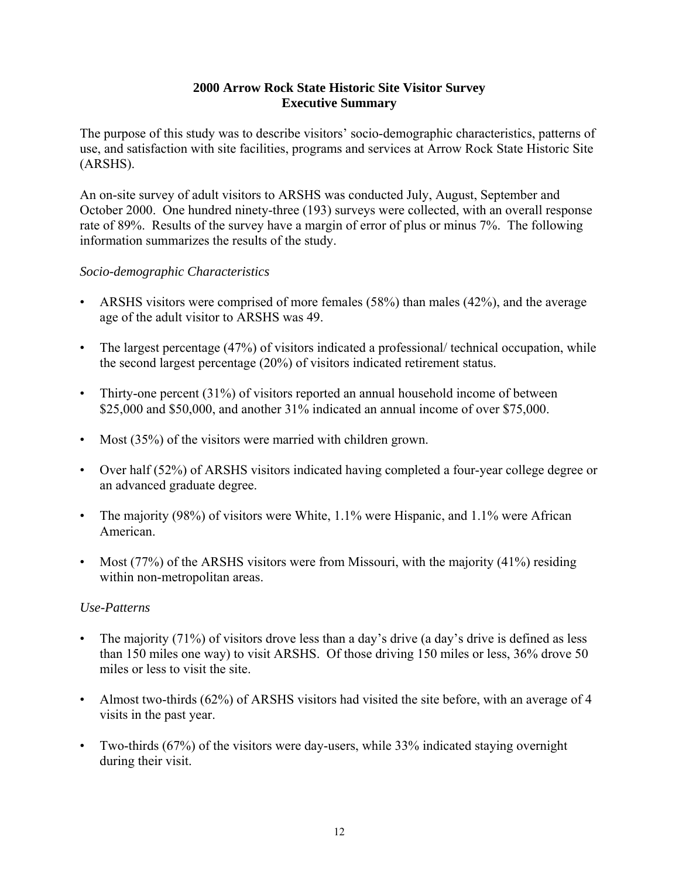#### **2000 Arrow Rock State Historic Site Visitor Survey Executive Summary**

The purpose of this study was to describe visitors' socio-demographic characteristics, patterns of use, and satisfaction with site facilities, programs and services at Arrow Rock State Historic Site (ARSHS).

An on-site survey of adult visitors to ARSHS was conducted July, August, September and October 2000. One hundred ninety-three (193) surveys were collected, with an overall response rate of 89%. Results of the survey have a margin of error of plus or minus 7%. The following information summarizes the results of the study.

# *Socio-demographic Characteristics*

- ARSHS visitors were comprised of more females (58%) than males (42%), and the average age of the adult visitor to ARSHS was 49.
- The largest percentage (47%) of visitors indicated a professional/ technical occupation, while the second largest percentage (20%) of visitors indicated retirement status.
- Thirty-one percent (31%) of visitors reported an annual household income of between \$25,000 and \$50,000, and another 31% indicated an annual income of over \$75,000.
- Most (35%) of the visitors were married with children grown.
- Over half (52%) of ARSHS visitors indicated having completed a four-year college degree or an advanced graduate degree.
- The majority (98%) of visitors were White, 1.1% were Hispanic, and 1.1% were African American.
- Most  $(77%)$  of the ARSHS visitors were from Missouri, with the majority  $(41%)$  residing within non-metropolitan areas.

- The majority (71%) of visitors drove less than a day's drive (a day's drive is defined as less than 150 miles one way) to visit ARSHS. Of those driving 150 miles or less, 36% drove 50 miles or less to visit the site.
- Almost two-thirds (62%) of ARSHS visitors had visited the site before, with an average of 4 visits in the past year.
- Two-thirds (67%) of the visitors were day-users, while 33% indicated staying overnight during their visit.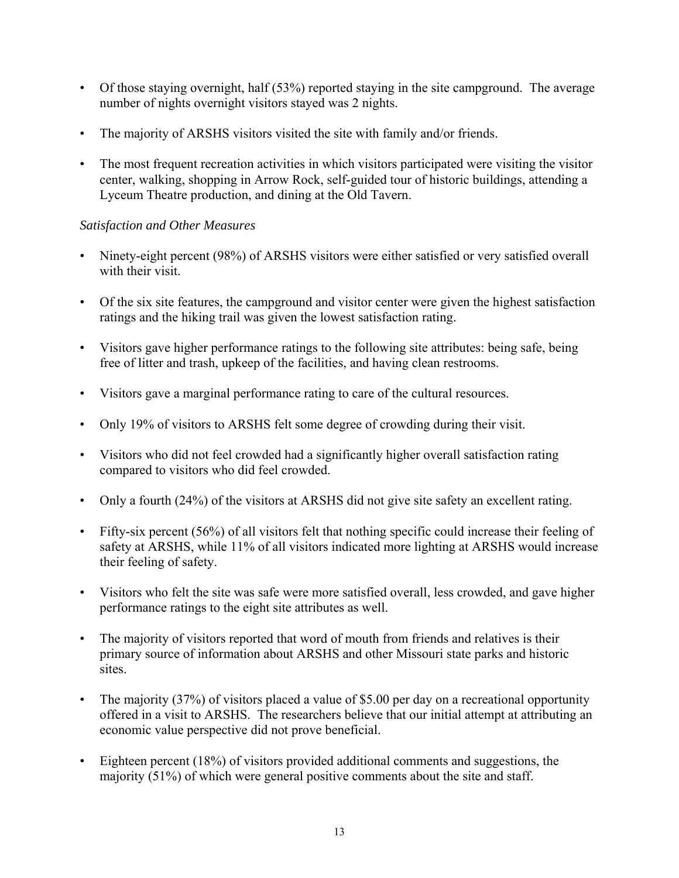- Of those staying overnight, half (53%) reported staying in the site campground. The average number of nights overnight visitors stayed was 2 nights.
- The majority of ARSHS visitors visited the site with family and/or friends.
- The most frequent recreation activities in which visitors participated were visiting the visitor center, walking, shopping in Arrow Rock, self-guided tour of historic buildings, attending a Lyceum Theatre production, and dining at the Old Tavern.

- Ninety-eight percent (98%) of ARSHS visitors were either satisfied or very satisfied overall with their visit.
- Of the six site features, the campground and visitor center were given the highest satisfaction ratings and the hiking trail was given the lowest satisfaction rating.
- Visitors gave higher performance ratings to the following site attributes: being safe, being free of litter and trash, upkeep of the facilities, and having clean restrooms.
- Visitors gave a marginal performance rating to care of the cultural resources.
- Only 19% of visitors to ARSHS felt some degree of crowding during their visit.
- Visitors who did not feel crowded had a significantly higher overall satisfaction rating compared to visitors who did feel crowded.
- Only a fourth (24%) of the visitors at ARSHS did not give site safety an excellent rating.
- Fifty-six percent (56%) of all visitors felt that nothing specific could increase their feeling of safety at ARSHS, while 11% of all visitors indicated more lighting at ARSHS would increase their feeling of safety.
- Visitors who felt the site was safe were more satisfied overall, less crowded, and gave higher performance ratings to the eight site attributes as well.
- The majority of visitors reported that word of mouth from friends and relatives is their primary source of information about ARSHS and other Missouri state parks and historic sites.
- The majority (37%) of visitors placed a value of \$5.00 per day on a recreational opportunity offered in a visit to ARSHS. The researchers believe that our initial attempt at attributing an economic value perspective did not prove beneficial.
- Eighteen percent (18%) of visitors provided additional comments and suggestions, the majority (51%) of which were general positive comments about the site and staff.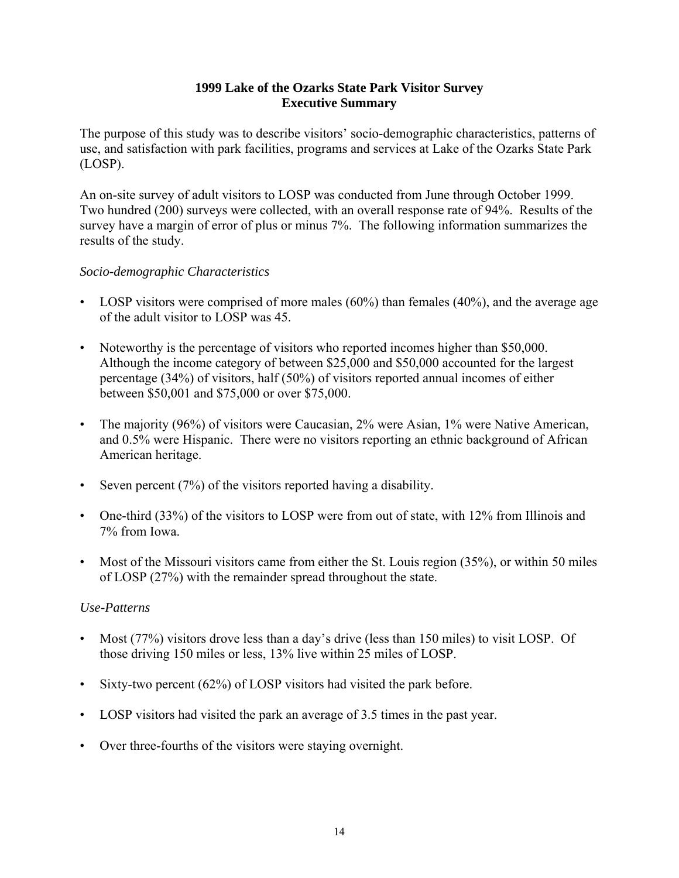#### **1999 Lake of the Ozarks State Park Visitor Survey Executive Summary**

The purpose of this study was to describe visitors' socio-demographic characteristics, patterns of use, and satisfaction with park facilities, programs and services at Lake of the Ozarks State Park (LOSP).

An on-site survey of adult visitors to LOSP was conducted from June through October 1999. Two hundred (200) surveys were collected, with an overall response rate of 94%. Results of the survey have a margin of error of plus or minus 7%. The following information summarizes the results of the study.

# *Socio-demographic Characteristics*

- LOSP visitors were comprised of more males (60%) than females (40%), and the average age of the adult visitor to LOSP was 45.
- Noteworthy is the percentage of visitors who reported incomes higher than \$50,000. Although the income category of between \$25,000 and \$50,000 accounted for the largest percentage (34%) of visitors, half (50%) of visitors reported annual incomes of either between \$50,001 and \$75,000 or over \$75,000.
- The majority (96%) of visitors were Caucasian, 2% were Asian, 1% were Native American, and 0.5% were Hispanic. There were no visitors reporting an ethnic background of African American heritage.
- Seven percent (7%) of the visitors reported having a disability.
- One-third (33%) of the visitors to LOSP were from out of state, with 12% from Illinois and 7% from Iowa.
- Most of the Missouri visitors came from either the St. Louis region (35%), or within 50 miles of LOSP (27%) with the remainder spread throughout the state.

- Most (77%) visitors drove less than a day's drive (less than 150 miles) to visit LOSP. Of those driving 150 miles or less, 13% live within 25 miles of LOSP.
- Sixty-two percent (62%) of LOSP visitors had visited the park before.
- LOSP visitors had visited the park an average of 3.5 times in the past year.
- Over three-fourths of the visitors were staying overnight.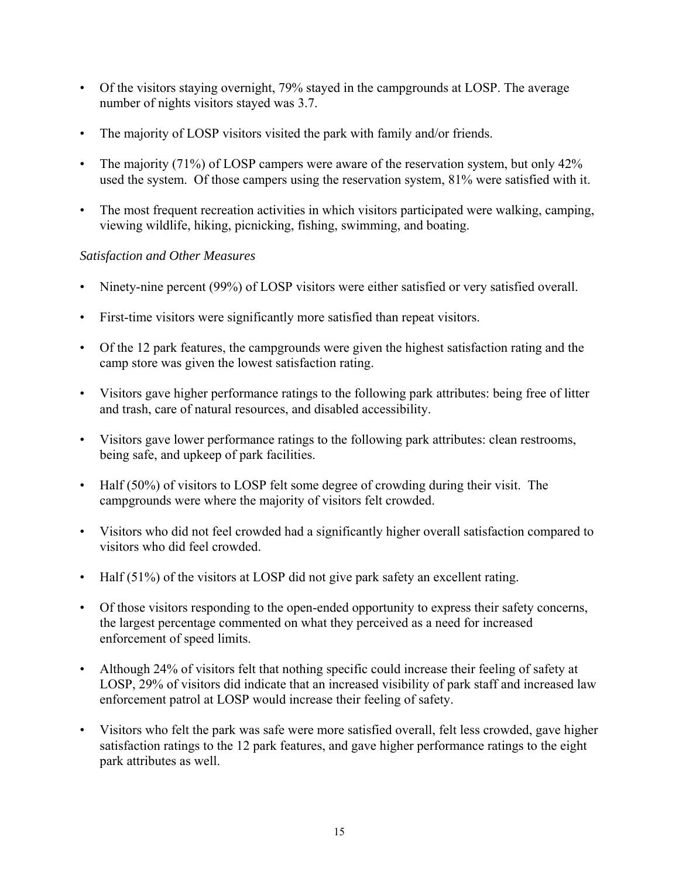- Of the visitors staying overnight, 79% stayed in the campgrounds at LOSP. The average number of nights visitors stayed was 3.7.
- The majority of LOSP visitors visited the park with family and/or friends.
- The majority (71%) of LOSP campers were aware of the reservation system, but only 42% used the system. Of those campers using the reservation system, 81% were satisfied with it.
- The most frequent recreation activities in which visitors participated were walking, camping, viewing wildlife, hiking, picnicking, fishing, swimming, and boating.

- Ninety-nine percent (99%) of LOSP visitors were either satisfied or very satisfied overall.
- First-time visitors were significantly more satisfied than repeat visitors.
- Of the 12 park features, the campgrounds were given the highest satisfaction rating and the camp store was given the lowest satisfaction rating.
- Visitors gave higher performance ratings to the following park attributes: being free of litter and trash, care of natural resources, and disabled accessibility.
- Visitors gave lower performance ratings to the following park attributes: clean restrooms, being safe, and upkeep of park facilities.
- Half (50%) of visitors to LOSP felt some degree of crowding during their visit. The campgrounds were where the majority of visitors felt crowded.
- Visitors who did not feel crowded had a significantly higher overall satisfaction compared to visitors who did feel crowded.
- Half (51%) of the visitors at LOSP did not give park safety an excellent rating.
- Of those visitors responding to the open-ended opportunity to express their safety concerns, the largest percentage commented on what they perceived as a need for increased enforcement of speed limits.
- Although 24% of visitors felt that nothing specific could increase their feeling of safety at LOSP, 29% of visitors did indicate that an increased visibility of park staff and increased law enforcement patrol at LOSP would increase their feeling of safety.
- Visitors who felt the park was safe were more satisfied overall, felt less crowded, gave higher satisfaction ratings to the 12 park features, and gave higher performance ratings to the eight park attributes as well.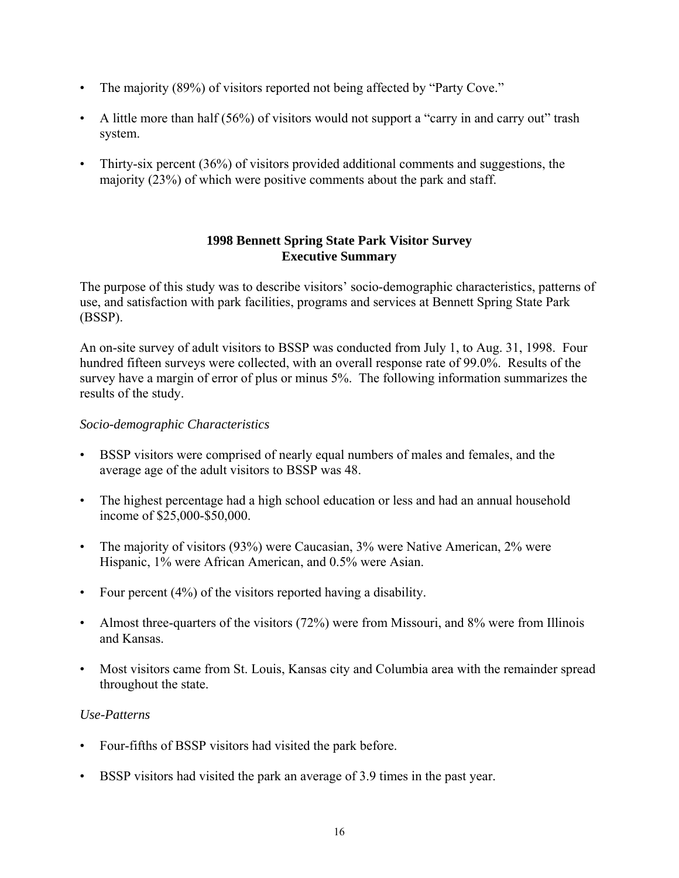- The majority (89%) of visitors reported not being affected by "Party Cove."
- A little more than half (56%) of visitors would not support a "carry in and carry out" trash system.
- Thirty-six percent (36%) of visitors provided additional comments and suggestions, the majority (23%) of which were positive comments about the park and staff.

### **1998 Bennett Spring State Park Visitor Survey Executive Summary**

The purpose of this study was to describe visitors' socio-demographic characteristics, patterns of use, and satisfaction with park facilities, programs and services at Bennett Spring State Park (BSSP).

An on-site survey of adult visitors to BSSP was conducted from July 1, to Aug. 31, 1998. Four hundred fifteen surveys were collected, with an overall response rate of 99.0%. Results of the survey have a margin of error of plus or minus 5%. The following information summarizes the results of the study.

# *Socio-demographic Characteristics*

- BSSP visitors were comprised of nearly equal numbers of males and females, and the average age of the adult visitors to BSSP was 48.
- The highest percentage had a high school education or less and had an annual household income of \$25,000-\$50,000.
- The majority of visitors (93%) were Caucasian, 3% were Native American, 2% were Hispanic, 1% were African American, and 0.5% were Asian.
- Four percent (4%) of the visitors reported having a disability.
- Almost three-quarters of the visitors (72%) were from Missouri, and 8% were from Illinois and Kansas.
- Most visitors came from St. Louis, Kansas city and Columbia area with the remainder spread throughout the state.

- Four-fifths of BSSP visitors had visited the park before.
- BSSP visitors had visited the park an average of 3.9 times in the past year.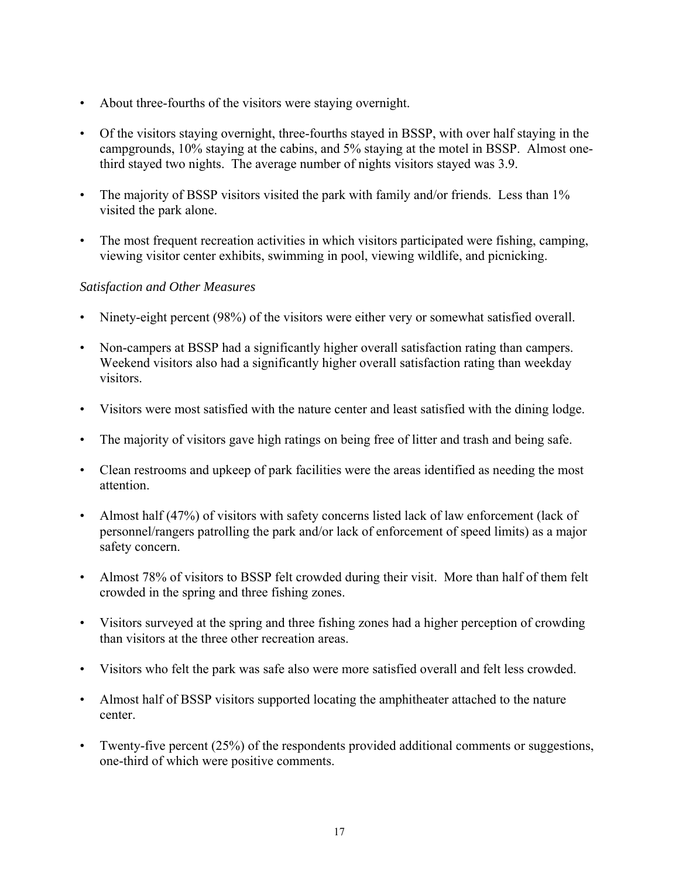- About three-fourths of the visitors were staying overnight.
- Of the visitors staying overnight, three-fourths stayed in BSSP, with over half staying in the campgrounds, 10% staying at the cabins, and 5% staying at the motel in BSSP. Almost onethird stayed two nights. The average number of nights visitors stayed was 3.9.
- The majority of BSSP visitors visited the park with family and/or friends. Less than 1% visited the park alone.
- The most frequent recreation activities in which visitors participated were fishing, camping, viewing visitor center exhibits, swimming in pool, viewing wildlife, and picnicking.

- Ninety-eight percent (98%) of the visitors were either very or somewhat satisfied overall.
- Non-campers at BSSP had a significantly higher overall satisfaction rating than campers. Weekend visitors also had a significantly higher overall satisfaction rating than weekday visitors.
- Visitors were most satisfied with the nature center and least satisfied with the dining lodge.
- The majority of visitors gave high ratings on being free of litter and trash and being safe.
- Clean restrooms and upkeep of park facilities were the areas identified as needing the most attention.
- Almost half (47%) of visitors with safety concerns listed lack of law enforcement (lack of personnel/rangers patrolling the park and/or lack of enforcement of speed limits) as a major safety concern.
- Almost 78% of visitors to BSSP felt crowded during their visit. More than half of them felt crowded in the spring and three fishing zones.
- Visitors surveyed at the spring and three fishing zones had a higher perception of crowding than visitors at the three other recreation areas.
- Visitors who felt the park was safe also were more satisfied overall and felt less crowded.
- Almost half of BSSP visitors supported locating the amphitheater attached to the nature center.
- Twenty-five percent (25%) of the respondents provided additional comments or suggestions, one-third of which were positive comments.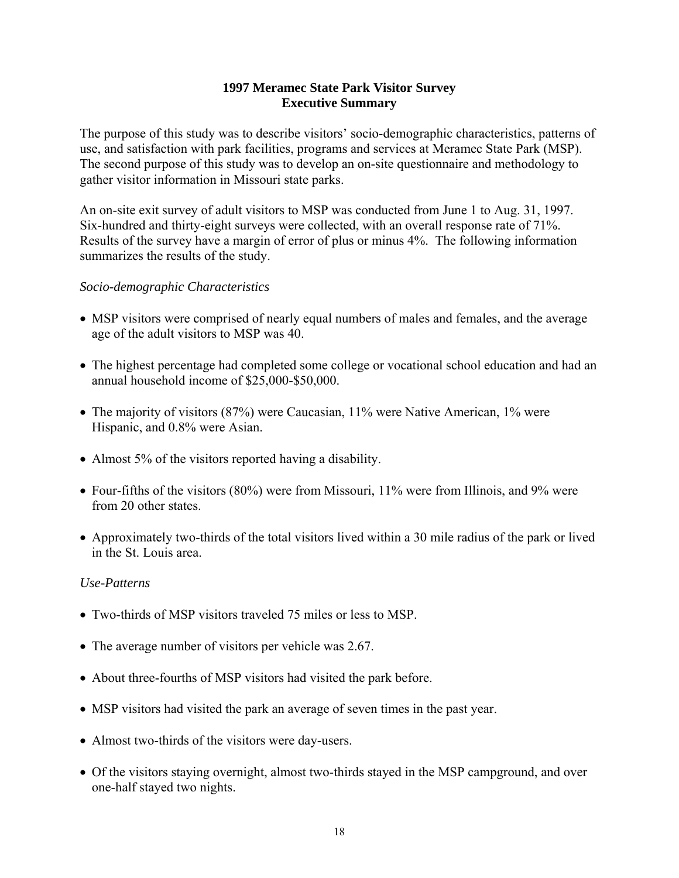#### **1997 Meramec State Park Visitor Survey Executive Summary**

The purpose of this study was to describe visitors' socio-demographic characteristics, patterns of use, and satisfaction with park facilities, programs and services at Meramec State Park (MSP). The second purpose of this study was to develop an on-site questionnaire and methodology to gather visitor information in Missouri state parks.

An on-site exit survey of adult visitors to MSP was conducted from June 1 to Aug. 31, 1997. Six-hundred and thirty-eight surveys were collected, with an overall response rate of 71%. Results of the survey have a margin of error of plus or minus 4%. The following information summarizes the results of the study.

#### *Socio-demographic Characteristics*

- MSP visitors were comprised of nearly equal numbers of males and females, and the average age of the adult visitors to MSP was 40.
- The highest percentage had completed some college or vocational school education and had an annual household income of \$25,000-\$50,000.
- The majority of visitors (87%) were Caucasian, 11% were Native American, 1% were Hispanic, and 0.8% were Asian.
- Almost 5% of the visitors reported having a disability.
- Four-fifths of the visitors (80%) were from Missouri, 11% were from Illinois, and 9% were from 20 other states.
- Approximately two-thirds of the total visitors lived within a 30 mile radius of the park or lived in the St. Louis area.

- Two-thirds of MSP visitors traveled 75 miles or less to MSP.
- The average number of visitors per vehicle was 2.67.
- About three-fourths of MSP visitors had visited the park before.
- MSP visitors had visited the park an average of seven times in the past year.
- Almost two-thirds of the visitors were day-users.
- Of the visitors staying overnight, almost two-thirds stayed in the MSP campground, and over one-half stayed two nights.